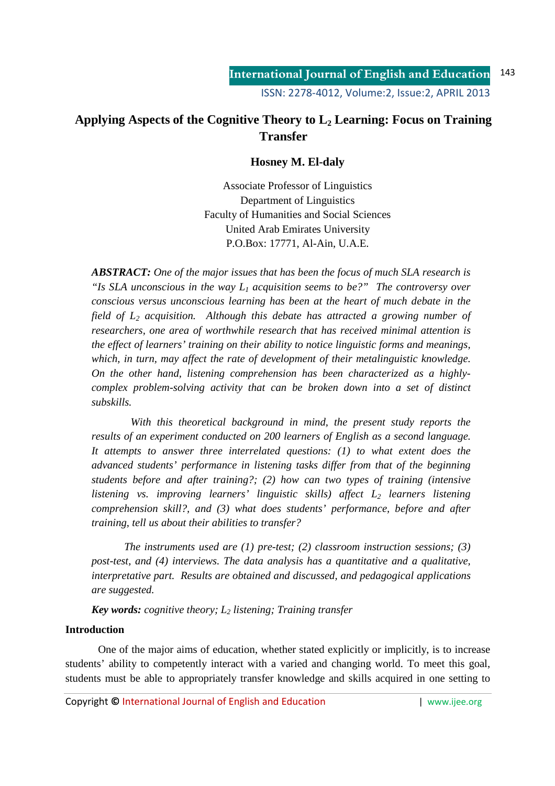# **Applying Aspects of the Cognitive Theory to L2 Learning: Focus on Training Transfer**

## **Hosney M. El-daly**

Associate Professor of Linguistics Department of Linguistics Faculty of Humanities and Social Sciences United Arab Emirates University P.O.Box: 17771, Al-Ain, U.A.E.

*ABSTRACT: One of the major issues that has been the focus of much SLA research is "Is SLA unconscious in the way L1 acquisition seems to be?" The controversy over conscious versus unconscious learning has been at the heart of much debate in the field of L2 acquisition. Although this debate has attracted a growing number of researchers, one area of worthwhile research that has received minimal attention is the effect of learners' training on their ability to notice linguistic forms and meanings, which, in turn, may affect the rate of development of their metalinguistic knowledge. On the other hand, listening comprehension has been characterized as a highlycomplex problem-solving activity that can be broken down into a set of distinct subskills.* 

 *With this theoretical background in mind, the present study reports the results of an experiment conducted on 200 learners of English as a second language. It attempts to answer three interrelated questions: (1) to what extent does the advanced students' performance in listening tasks differ from that of the beginning students before and after training?; (2) how can two types of training (intensive listening vs. improving learners' linguistic skills) affect L2 learners listening comprehension skill?, and (3) what does students' performance, before and after training, tell us about their abilities to transfer?*

*The instruments used are (1) pre-test; (2) classroom instruction sessions; (3) post-test, and (4) interviews. The data analysis has a quantitative and a qualitative, interpretative part. Results are obtained and discussed, and pedagogical applications are suggested.* 

*Key words: cognitive theory; L2 listening; Training transfer* 

## **Introduction**

 One of the major aims of education, whether stated explicitly or implicitly, is to increase students' ability to competently interact with a varied and changing world. To meet this goal, students must be able to appropriately transfer knowledge and skills acquired in one setting to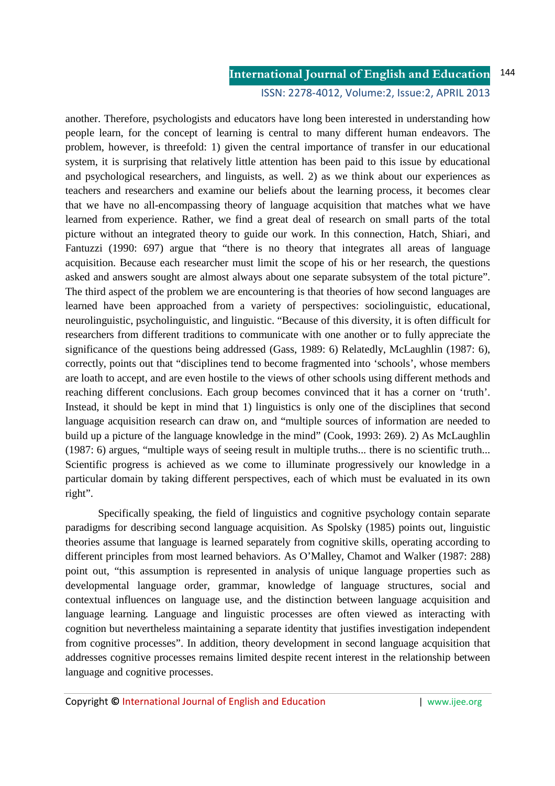### ISSN: 2278-4012, Volume:2, Issue:2, APRIL 2013

another. Therefore, psychologists and educators have long been interested in understanding how people learn, for the concept of learning is central to many different human endeavors. The problem, however, is threefold: 1) given the central importance of transfer in our educational system, it is surprising that relatively little attention has been paid to this issue by educational and psychological researchers, and linguists, as well. 2) as we think about our experiences as teachers and researchers and examine our beliefs about the learning process, it becomes clear that we have no all-encompassing theory of language acquisition that matches what we have learned from experience. Rather, we find a great deal of research on small parts of the total picture without an integrated theory to guide our work. In this connection, Hatch, Shiari, and Fantuzzi (1990: 697) argue that "there is no theory that integrates all areas of language acquisition. Because each researcher must limit the scope of his or her research, the questions asked and answers sought are almost always about one separate subsystem of the total picture". The third aspect of the problem we are encountering is that theories of how second languages are learned have been approached from a variety of perspectives: sociolinguistic, educational, neurolinguistic, psycholinguistic, and linguistic. "Because of this diversity, it is often difficult for researchers from different traditions to communicate with one another or to fully appreciate the significance of the questions being addressed (Gass, 1989: 6) Relatedly, McLaughlin (1987: 6), correctly, points out that "disciplines tend to become fragmented into 'schools', whose members are loath to accept, and are even hostile to the views of other schools using different methods and reaching different conclusions. Each group becomes convinced that it has a corner on 'truth'. Instead, it should be kept in mind that 1) linguistics is only one of the disciplines that second language acquisition research can draw on, and "multiple sources of information are needed to build up a picture of the language knowledge in the mind" (Cook, 1993: 269). 2) As McLaughlin (1987: 6) argues, "multiple ways of seeing result in multiple truths... there is no scientific truth... Scientific progress is achieved as we come to illuminate progressively our knowledge in a particular domain by taking different perspectives, each of which must be evaluated in its own right".

 Specifically speaking, the field of linguistics and cognitive psychology contain separate paradigms for describing second language acquisition. As Spolsky (1985) points out, linguistic theories assume that language is learned separately from cognitive skills, operating according to different principles from most learned behaviors. As O'Malley, Chamot and Walker (1987: 288) point out, "this assumption is represented in analysis of unique language properties such as developmental language order, grammar, knowledge of language structures, social and contextual influences on language use, and the distinction between language acquisition and language learning. Language and linguistic processes are often viewed as interacting with cognition but nevertheless maintaining a separate identity that justifies investigation independent from cognitive processes". In addition, theory development in second language acquisition that addresses cognitive processes remains limited despite recent interest in the relationship between language and cognitive processes.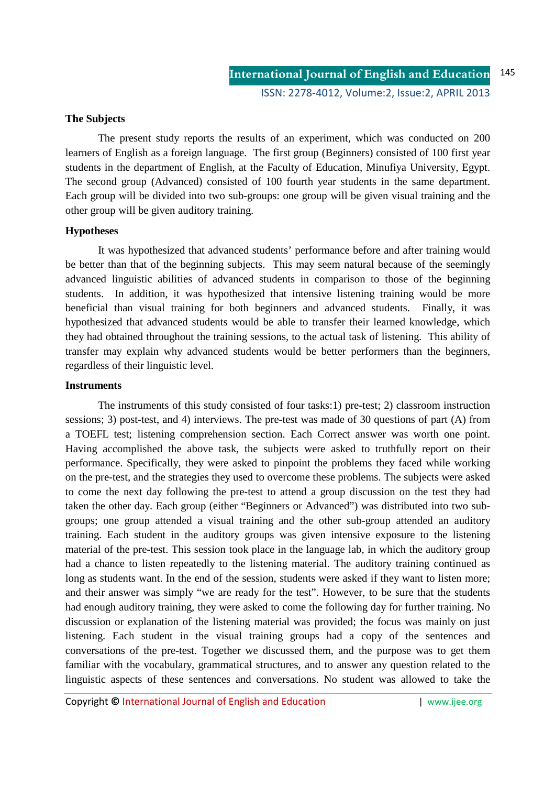### **The Subjects**

The present study reports the results of an experiment, which was conducted on 200 learners of English as a foreign language.The first group (Beginners) consisted of 100 first year students in the department of English, at the Faculty of Education, Minufiya University, Egypt. The second group (Advanced) consisted of 100 fourth year students in the same department. Each group will be divided into two sub-groups: one group will be given visual training and the other group will be given auditory training.

### **Hypotheses**

It was hypothesized that advanced students' performance before and after training would be better than that of the beginning subjects. This may seem natural because of the seemingly advanced linguistic abilities of advanced students in comparison to those of the beginning students. In addition, it was hypothesized that intensive listening training would be more beneficial than visual training for both beginners and advanced students. Finally, it was hypothesized that advanced students would be able to transfer their learned knowledge, which they had obtained throughout the training sessions, to the actual task of listening. This ability of transfer may explain why advanced students would be better performers than the beginners, regardless of their linguistic level.

### **Instruments**

The instruments of this study consisted of four tasks:1) pre-test; 2) classroom instruction sessions; 3) post-test, and 4) interviews. The pre-test was made of 30 questions of part (A) from a TOEFL test; listening comprehension section. Each Correct answer was worth one point. Having accomplished the above task, the subjects were asked to truthfully report on their performance. Specifically, they were asked to pinpoint the problems they faced while working on the pre-test, and the strategies they used to overcome these problems. The subjects were asked to come the next day following the pre-test to attend a group discussion on the test they had taken the other day. Each group (either "Beginners or Advanced") was distributed into two subgroups; one group attended a visual training and the other sub-group attended an auditory training. Each student in the auditory groups was given intensive exposure to the listening material of the pre-test. This session took place in the language lab, in which the auditory group had a chance to listen repeatedly to the listening material. The auditory training continued as long as students want. In the end of the session, students were asked if they want to listen more; and their answer was simply "we are ready for the test". However, to be sure that the students had enough auditory training, they were asked to come the following day for further training. No discussion or explanation of the listening material was provided; the focus was mainly on just listening. Each student in the visual training groups had a copy of the sentences and conversations of the pre-test. Together we discussed them, and the purpose was to get them familiar with the vocabulary, grammatical structures, and to answer any question related to the linguistic aspects of these sentences and conversations. No student was allowed to take the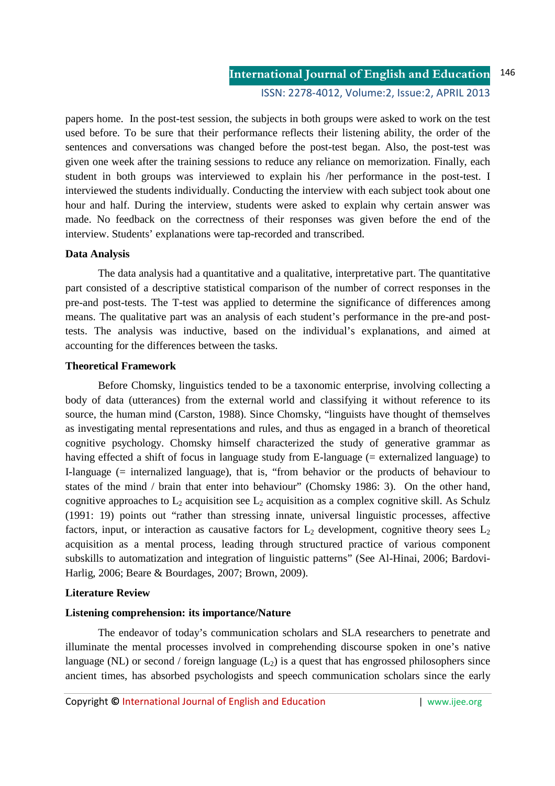papers home. In the post-test session, the subjects in both groups were asked to work on the test used before. To be sure that their performance reflects their listening ability, the order of the sentences and conversations was changed before the post-test began. Also, the post-test was given one week after the training sessions to reduce any reliance on memorization. Finally, each student in both groups was interviewed to explain his /her performance in the post-test. I interviewed the students individually. Conducting the interview with each subject took about one hour and half. During the interview, students were asked to explain why certain answer was made. No feedback on the correctness of their responses was given before the end of the interview. Students' explanations were tap-recorded and transcribed.

### **Data Analysis**

The data analysis had a quantitative and a qualitative, interpretative part. The quantitative part consisted of a descriptive statistical comparison of the number of correct responses in the pre-and post-tests. The T-test was applied to determine the significance of differences among means. The qualitative part was an analysis of each student's performance in the pre-and posttests. The analysis was inductive, based on the individual's explanations, and aimed at accounting for the differences between the tasks.

### **Theoretical Framework**

 Before Chomsky, linguistics tended to be a taxonomic enterprise, involving collecting a body of data (utterances) from the external world and classifying it without reference to its source, the human mind (Carston, 1988). Since Chomsky, "linguists have thought of themselves as investigating mental representations and rules, and thus as engaged in a branch of theoretical cognitive psychology. Chomsky himself characterized the study of generative grammar as having effected a shift of focus in language study from E-language (= externalized language) to I-language (= internalized language), that is, "from behavior or the products of behaviour to states of the mind / brain that enter into behaviour" (Chomsky 1986: 3). On the other hand, cognitive approaches to  $L_2$  acquisition see  $L_2$  acquisition as a complex cognitive skill. As Schulz (1991: 19) points out "rather than stressing innate, universal linguistic processes, affective factors, input, or interaction as causative factors for  $L_2$  development, cognitive theory sees  $L_2$ acquisition as a mental process, leading through structured practice of various component subskills to automatization and integration of linguistic patterns" (See Al-Hinai, 2006; Bardovi-Harlig, 2006; Beare & Bourdages, 2007; Brown, 2009).

### **Literature Review**

### **Listening comprehension: its importance/Nature**

The endeavor of today's communication scholars and SLA researchers to penetrate and illuminate the mental processes involved in comprehending discourse spoken in one's native language (NL) or second / foreign language  $(L_2)$  is a quest that has engrossed philosophers since ancient times, has absorbed psychologists and speech communication scholars since the early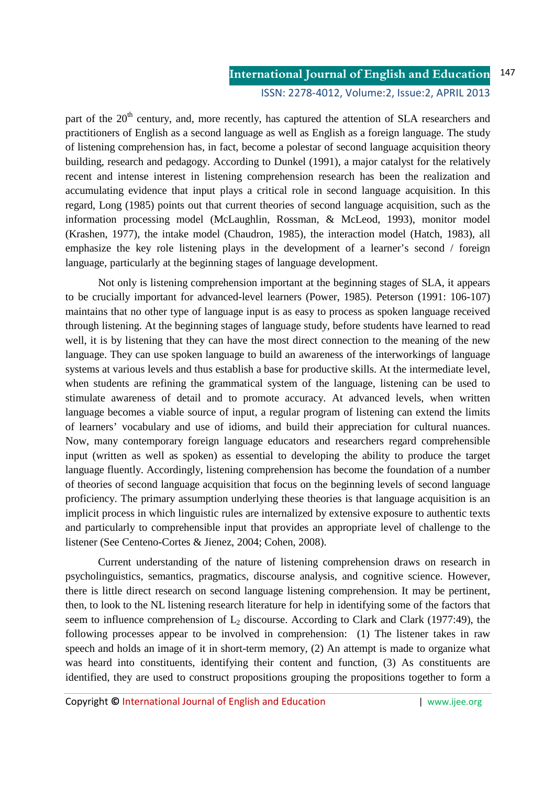part of the  $20<sup>th</sup>$  century, and, more recently, has captured the attention of SLA researchers and practitioners of English as a second language as well as English as a foreign language. The study of listening comprehension has, in fact, become a polestar of second language acquisition theory building, research and pedagogy. According to Dunkel (1991), a major catalyst for the relatively recent and intense interest in listening comprehension research has been the realization and accumulating evidence that input plays a critical role in second language acquisition. In this regard, Long (1985) points out that current theories of second language acquisition, such as the information processing model (McLaughlin, Rossman, & McLeod, 1993), monitor model (Krashen, 1977), the intake model (Chaudron, 1985), the interaction model (Hatch, 1983), all emphasize the key role listening plays in the development of a learner's second / foreign language, particularly at the beginning stages of language development.

Not only is listening comprehension important at the beginning stages of SLA, it appears to be crucially important for advanced-level learners (Power, 1985). Peterson (1991: 106-107) maintains that no other type of language input is as easy to process as spoken language received through listening. At the beginning stages of language study, before students have learned to read well, it is by listening that they can have the most direct connection to the meaning of the new language. They can use spoken language to build an awareness of the interworkings of language systems at various levels and thus establish a base for productive skills. At the intermediate level, when students are refining the grammatical system of the language, listening can be used to stimulate awareness of detail and to promote accuracy. At advanced levels, when written language becomes a viable source of input, a regular program of listening can extend the limits of learners' vocabulary and use of idioms, and build their appreciation for cultural nuances. Now, many contemporary foreign language educators and researchers regard comprehensible input (written as well as spoken) as essential to developing the ability to produce the target language fluently. Accordingly, listening comprehension has become the foundation of a number of theories of second language acquisition that focus on the beginning levels of second language proficiency. The primary assumption underlying these theories is that language acquisition is an implicit process in which linguistic rules are internalized by extensive exposure to authentic texts and particularly to comprehensible input that provides an appropriate level of challenge to the listener (See Centeno-Cortes & Jienez, 2004; Cohen, 2008).

Current understanding of the nature of listening comprehension draws on research in psycholinguistics, semantics, pragmatics, discourse analysis, and cognitive science. However, there is little direct research on second language listening comprehension. It may be pertinent, then, to look to the NL listening research literature for help in identifying some of the factors that seem to influence comprehension of  $L_2$  discourse. According to Clark and Clark (1977:49), the following processes appear to be involved in comprehension: (1) The listener takes in raw speech and holds an image of it in short-term memory, (2) An attempt is made to organize what was heard into constituents, identifying their content and function, (3) As constituents are identified, they are used to construct propositions grouping the propositions together to form a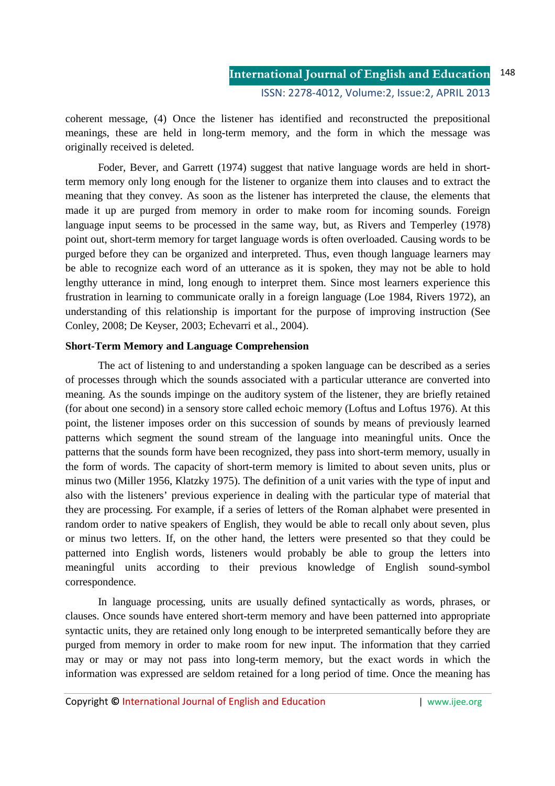coherent message, (4) Once the listener has identified and reconstructed the prepositional meanings, these are held in long-term memory, and the form in which the message was originally received is deleted.

Foder, Bever, and Garrett (1974) suggest that native language words are held in shortterm memory only long enough for the listener to organize them into clauses and to extract the meaning that they convey. As soon as the listener has interpreted the clause, the elements that made it up are purged from memory in order to make room for incoming sounds. Foreign language input seems to be processed in the same way, but, as Rivers and Temperley (1978) point out, short-term memory for target language words is often overloaded. Causing words to be purged before they can be organized and interpreted. Thus, even though language learners may be able to recognize each word of an utterance as it is spoken, they may not be able to hold lengthy utterance in mind, long enough to interpret them. Since most learners experience this frustration in learning to communicate orally in a foreign language (Loe 1984, Rivers 1972), an understanding of this relationship is important for the purpose of improving instruction (See Conley, 2008; De Keyser, 2003; Echevarri et al., 2004).

### **Short-Term Memory and Language Comprehension**

The act of listening to and understanding a spoken language can be described as a series of processes through which the sounds associated with a particular utterance are converted into meaning. As the sounds impinge on the auditory system of the listener, they are briefly retained (for about one second) in a sensory store called echoic memory (Loftus and Loftus 1976). At this point, the listener imposes order on this succession of sounds by means of previously learned patterns which segment the sound stream of the language into meaningful units. Once the patterns that the sounds form have been recognized, they pass into short-term memory, usually in the form of words. The capacity of short-term memory is limited to about seven units, plus or minus two (Miller 1956, Klatzky 1975). The definition of a unit varies with the type of input and also with the listeners' previous experience in dealing with the particular type of material that they are processing. For example, if a series of letters of the Roman alphabet were presented in random order to native speakers of English, they would be able to recall only about seven, plus or minus two letters. If, on the other hand, the letters were presented so that they could be patterned into English words, listeners would probably be able to group the letters into meaningful units according to their previous knowledge of English sound-symbol correspondence.

In language processing, units are usually defined syntactically as words, phrases, or clauses. Once sounds have entered short-term memory and have been patterned into appropriate syntactic units, they are retained only long enough to be interpreted semantically before they are purged from memory in order to make room for new input. The information that they carried may or may or may not pass into long-term memory, but the exact words in which the information was expressed are seldom retained for a long period of time. Once the meaning has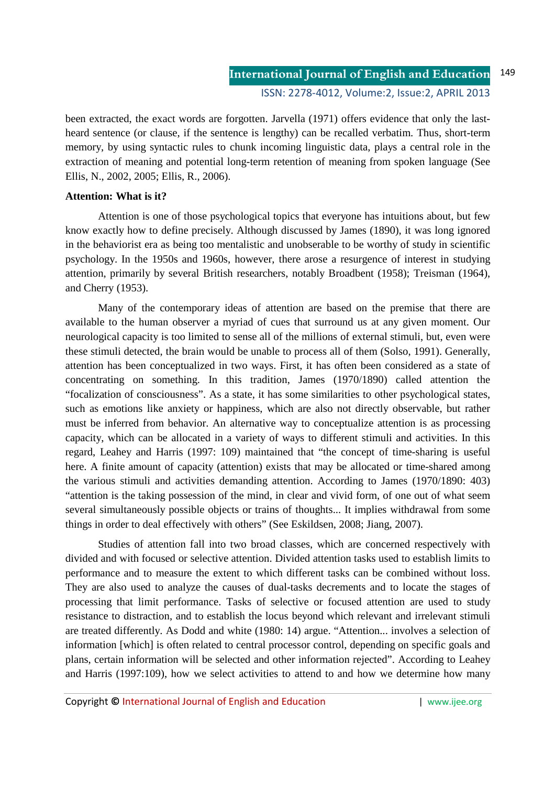been extracted, the exact words are forgotten. Jarvella (1971) offers evidence that only the lastheard sentence (or clause, if the sentence is lengthy) can be recalled verbatim. Thus, short-term memory, by using syntactic rules to chunk incoming linguistic data, plays a central role in the extraction of meaning and potential long-term retention of meaning from spoken language (See Ellis, N., 2002, 2005; Ellis, R., 2006).

### **Attention: What is it?**

Attention is one of those psychological topics that everyone has intuitions about, but few know exactly how to define precisely. Although discussed by James (1890), it was long ignored in the behaviorist era as being too mentalistic and unobserable to be worthy of study in scientific psychology. In the 1950s and 1960s, however, there arose a resurgence of interest in studying attention, primarily by several British researchers, notably Broadbent (1958); Treisman (1964), and Cherry (1953).

Many of the contemporary ideas of attention are based on the premise that there are available to the human observer a myriad of cues that surround us at any given moment. Our neurological capacity is too limited to sense all of the millions of external stimuli, but, even were these stimuli detected, the brain would be unable to process all of them (Solso, 1991). Generally, attention has been conceptualized in two ways. First, it has often been considered as a state of concentrating on something. In this tradition, James (1970/1890) called attention the "focalization of consciousness". As a state, it has some similarities to other psychological states, such as emotions like anxiety or happiness, which are also not directly observable, but rather must be inferred from behavior. An alternative way to conceptualize attention is as processing capacity, which can be allocated in a variety of ways to different stimuli and activities. In this regard, Leahey and Harris (1997: 109) maintained that "the concept of time-sharing is useful here. A finite amount of capacity (attention) exists that may be allocated or time-shared among the various stimuli and activities demanding attention. According to James (1970/1890: 403) "attention is the taking possession of the mind, in clear and vivid form, of one out of what seem several simultaneously possible objects or trains of thoughts... It implies withdrawal from some things in order to deal effectively with others" (See Eskildsen, 2008; Jiang, 2007).

Studies of attention fall into two broad classes, which are concerned respectively with divided and with focused or selective attention. Divided attention tasks used to establish limits to performance and to measure the extent to which different tasks can be combined without loss. They are also used to analyze the causes of dual-tasks decrements and to locate the stages of processing that limit performance. Tasks of selective or focused attention are used to study resistance to distraction, and to establish the locus beyond which relevant and irrelevant stimuli are treated differently. As Dodd and white (1980: 14) argue. "Attention... involves a selection of information [which] is often related to central processor control, depending on specific goals and plans, certain information will be selected and other information rejected". According to Leahey and Harris (1997:109), how we select activities to attend to and how we determine how many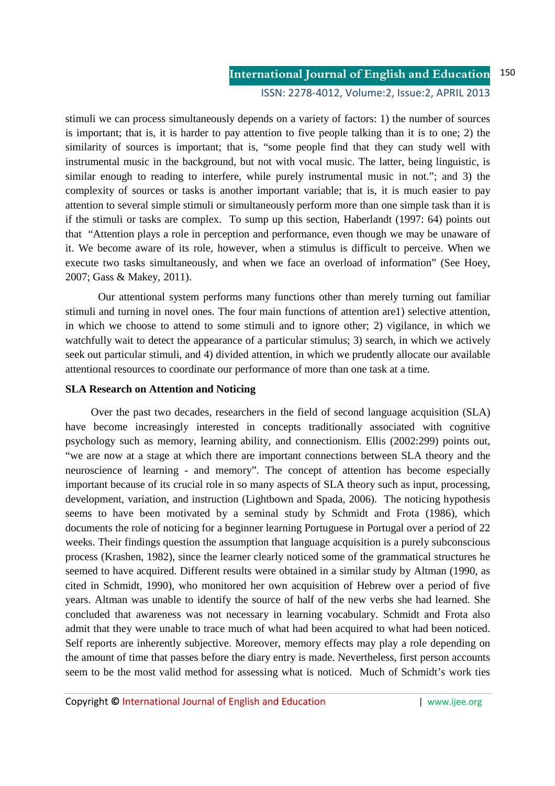ISSN: 2278-4012, Volume:2, Issue:2, APRIL 2013

stimuli we can process simultaneously depends on a variety of factors: 1) the number of sources is important; that is, it is harder to pay attention to five people talking than it is to one; 2) the similarity of sources is important; that is, "some people find that they can study well with instrumental music in the background, but not with vocal music. The latter, being linguistic, is similar enough to reading to interfere, while purely instrumental music in not."; and 3) the complexity of sources or tasks is another important variable; that is, it is much easier to pay attention to several simple stimuli or simultaneously perform more than one simple task than it is if the stimuli or tasks are complex. To sump up this section, Haberlandt (1997: 64) points out that "Attention plays a role in perception and performance, even though we may be unaware of it. We become aware of its role, however, when a stimulus is difficult to perceive. When we execute two tasks simultaneously, and when we face an overload of information" (See Hoey, 2007; Gass & Makey, 2011).

Our attentional system performs many functions other than merely turning out familiar stimuli and turning in novel ones. The four main functions of attention are1) selective attention, in which we choose to attend to some stimuli and to ignore other; 2) vigilance, in which we watchfully wait to detect the appearance of a particular stimulus; 3) search, in which we actively seek out particular stimuli, and 4) divided attention, in which we prudently allocate our available attentional resources to coordinate our performance of more than one task at a time.

### **SLA Research on Attention and Noticing**

 Over the past two decades, researchers in the field of second language acquisition (SLA) have become increasingly interested in concepts traditionally associated with cognitive psychology such as memory, learning ability, and connectionism. Ellis (2002:299) points out, "we are now at a stage at which there are important connections between SLA theory and the neuroscience of learning - and memory". The concept of attention has become especially important because of its crucial role in so many aspects of SLA theory such as input, processing, development, variation, and instruction (Lightbown and Spada, 2006). The noticing hypothesis seems to have been motivated by a seminal study by Schmidt and Frota (1986), which documents the role of noticing for a beginner learning Portuguese in Portugal over a period of 22 weeks. Their findings question the assumption that language acquisition is a purely subconscious process (Krashen, 1982), since the learner clearly noticed some of the grammatical structures he seemed to have acquired. Different results were obtained in a similar study by Altman (1990, as cited in Schmidt, 1990), who monitored her own acquisition of Hebrew over a period of five years. Altman was unable to identify the source of half of the new verbs she had learned. She concluded that awareness was not necessary in learning vocabulary. Schmidt and Frota also admit that they were unable to trace much of what had been acquired to what had been noticed. Self reports are inherently subjective. Moreover, memory effects may play a role depending on the amount of time that passes before the diary entry is made. Nevertheless, first person accounts seem to be the most valid method for assessing what is noticed. Much of Schmidt's work ties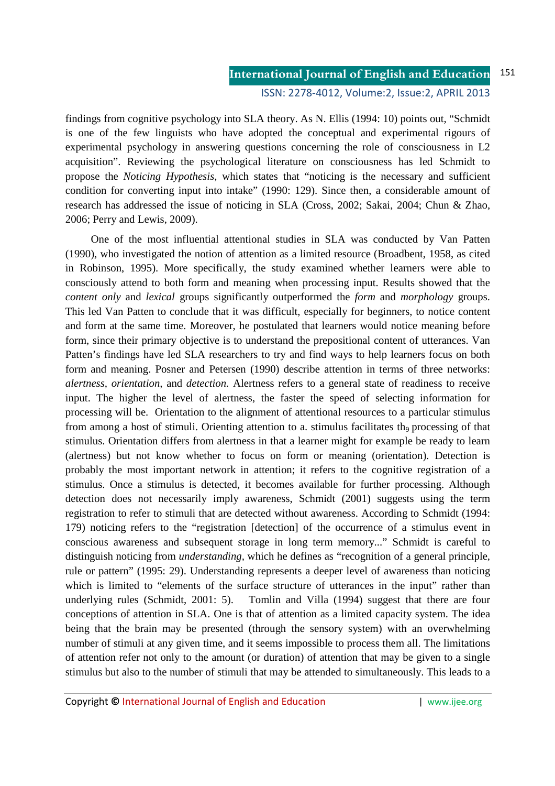findings from cognitive psychology into SLA theory. As N. Ellis (1994: 10) points out, "Schmidt is one of the few linguists who have adopted the conceptual and experimental rigours of experimental psychology in answering questions concerning the role of consciousness in L2 acquisition". Reviewing the psychological literature on consciousness has led Schmidt to propose the *Noticing Hypothesis,* which states that "noticing is the necessary and sufficient condition for converting input into intake" (1990: 129). Since then, a considerable amount of research has addressed the issue of noticing in SLA (Cross, 2002; Sakai, 2004; Chun & Zhao, 2006; Perry and Lewis, 2009).

 One of the most influential attentional studies in SLA was conducted by Van Patten (1990), who investigated the notion of attention as a limited resource (Broadbent, 1958, as cited in Robinson, 1995). More specifically, the study examined whether learners were able to consciously attend to both form and meaning when processing input. Results showed that the *content only* and *lexical* groups significantly outperformed the *form* and *morphology* groups. This led Van Patten to conclude that it was difficult, especially for beginners, to notice content and form at the same time. Moreover, he postulated that learners would notice meaning before form, since their primary objective is to understand the prepositional content of utterances. Van Patten's findings have led SLA researchers to try and find ways to help learners focus on both form and meaning. Posner and Petersen (1990) describe attention in terms of three networks: *alertness, orientation,* and *detection.* Alertness refers to a general state of readiness to receive input. The higher the level of alertness, the faster the speed of selecting information for processing will be. Orientation to the alignment of attentional resources to a particular stimulus from among a host of stimuli. Orienting attention to a. stimulus facilitates the processing of that stimulus. Orientation differs from alertness in that a learner might for example be ready to learn (alertness) but not know whether to focus on form or meaning (orientation). Detection is probably the most important network in attention; it refers to the cognitive registration of a stimulus. Once a stimulus is detected, it becomes available for further processing. Although detection does not necessarily imply awareness, Schmidt (2001) suggests using the term registration to refer to stimuli that are detected without awareness. According to Schmidt (1994: 179) noticing refers to the "registration [detection] of the occurrence of a stimulus event in conscious awareness and subsequent storage in long term memory..." Schmidt is careful to distinguish noticing from *understanding,* which he defines as "recognition of a general principle, rule or pattern" (1995: 29). Understanding represents a deeper level of awareness than noticing which is limited to "elements of the surface structure of utterances in the input" rather than underlying rules (Schmidt, 2001: 5). Tomlin and Villa (1994) suggest that there are four conceptions of attention in SLA. One is that of attention as a limited capacity system. The idea being that the brain may be presented (through the sensory system) with an overwhelming number of stimuli at any given time, and it seems impossible to process them all. The limitations of attention refer not only to the amount (or duration) of attention that may be given to a single stimulus but also to the number of stimuli that may be attended to simultaneously. This leads to a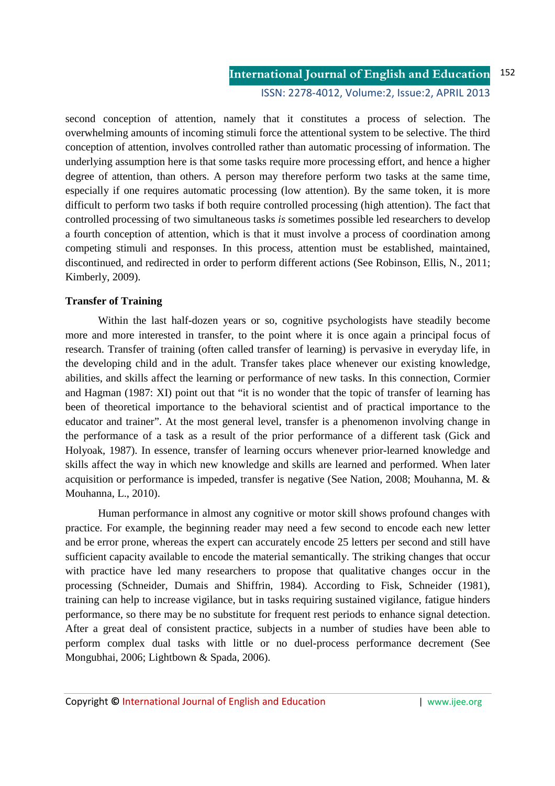second conception of attention, namely that it constitutes a process of selection. The overwhelming amounts of incoming stimuli force the attentional system to be selective. The third conception of attention, involves controlled rather than automatic processing of information. The underlying assumption here is that some tasks require more processing effort, and hence a higher degree of attention, than others. A person may therefore perform two tasks at the same time, especially if one requires automatic processing (low attention). By the same token, it is more difficult to perform two tasks if both require controlled processing (high attention). The fact that controlled processing of two simultaneous tasks *is* sometimes possible led researchers to develop a fourth conception of attention, which is that it must involve a process of coordination among competing stimuli and responses. In this process, attention must be established, maintained, discontinued, and redirected in order to perform different actions (See Robinson, Ellis, N., 2011; Kimberly, 2009).

### **Transfer of Training**

Within the last half-dozen years or so, cognitive psychologists have steadily become more and more interested in transfer, to the point where it is once again a principal focus of research. Transfer of training (often called transfer of learning) is pervasive in everyday life, in the developing child and in the adult. Transfer takes place whenever our existing knowledge, abilities, and skills affect the learning or performance of new tasks. In this connection, Cormier and Hagman (1987: XI) point out that "it is no wonder that the topic of transfer of learning has been of theoretical importance to the behavioral scientist and of practical importance to the educator and trainer". At the most general level, transfer is a phenomenon involving change in the performance of a task as a result of the prior performance of a different task (Gick and Holyoak, 1987). In essence, transfer of learning occurs whenever prior-learned knowledge and skills affect the way in which new knowledge and skills are learned and performed. When later acquisition or performance is impeded, transfer is negative (See Nation, 2008; Mouhanna, M. & Mouhanna, L., 2010).

Human performance in almost any cognitive or motor skill shows profound changes with practice. For example, the beginning reader may need a few second to encode each new letter and be error prone, whereas the expert can accurately encode 25 letters per second and still have sufficient capacity available to encode the material semantically. The striking changes that occur with practice have led many researchers to propose that qualitative changes occur in the processing (Schneider, Dumais and Shiffrin, 1984). According to Fisk, Schneider (1981), training can help to increase vigilance, but in tasks requiring sustained vigilance, fatigue hinders performance, so there may be no substitute for frequent rest periods to enhance signal detection. After a great deal of consistent practice, subjects in a number of studies have been able to perform complex dual tasks with little or no duel-process performance decrement (See Mongubhai, 2006; Lightbown & Spada, 2006).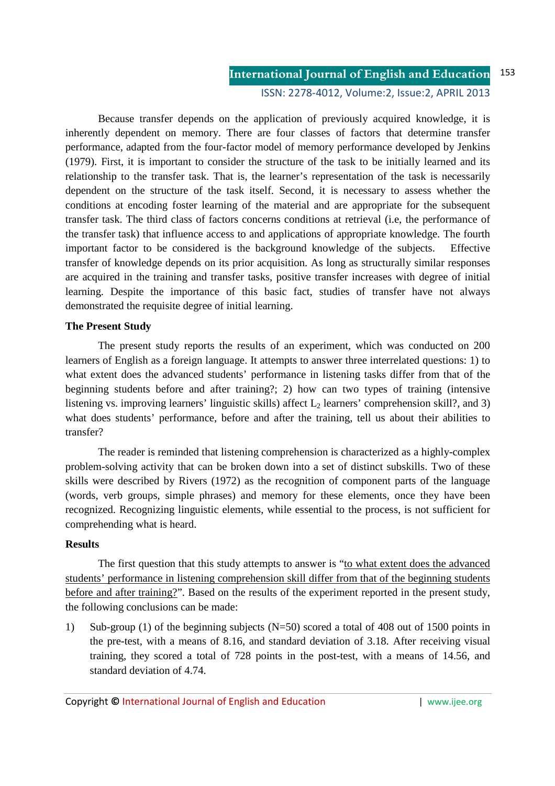ISSN: 2278-4012, Volume:2, Issue:2, APRIL 2013

Because transfer depends on the application of previously acquired knowledge, it is inherently dependent on memory. There are four classes of factors that determine transfer performance, adapted from the four-factor model of memory performance developed by Jenkins (1979). First, it is important to consider the structure of the task to be initially learned and its relationship to the transfer task. That is, the learner's representation of the task is necessarily dependent on the structure of the task itself. Second, it is necessary to assess whether the conditions at encoding foster learning of the material and are appropriate for the subsequent transfer task. The third class of factors concerns conditions at retrieval (i.e, the performance of the transfer task) that influence access to and applications of appropriate knowledge. The fourth important factor to be considered is the background knowledge of the subjects. Effective transfer of knowledge depends on its prior acquisition. As long as structurally similar responses are acquired in the training and transfer tasks, positive transfer increases with degree of initial learning. Despite the importance of this basic fact, studies of transfer have not always demonstrated the requisite degree of initial learning.

### **The Present Study**

 The present study reports the results of an experiment, which was conducted on 200 learners of English as a foreign language. It attempts to answer three interrelated questions: 1) to what extent does the advanced students' performance in listening tasks differ from that of the beginning students before and after training?; 2) how can two types of training (intensive listening vs. improving learners' linguistic skills) affect  $L_2$  learners' comprehension skill?, and 3) what does students' performance, before and after the training, tell us about their abilities to transfer?

 The reader is reminded that listening comprehension is characterized as a highly-complex problem-solving activity that can be broken down into a set of distinct subskills. Two of these skills were described by Rivers (1972) as the recognition of component parts of the language (words, verb groups, simple phrases) and memory for these elements, once they have been recognized. Recognizing linguistic elements, while essential to the process, is not sufficient for comprehending what is heard.

### **Results**

The first question that this study attempts to answer is "to what extent does the advanced students' performance in listening comprehension skill differ from that of the beginning students before and after training?". Based on the results of the experiment reported in the present study, the following conclusions can be made:

1) Sub-group (1) of the beginning subjects (N=50) scored a total of 408 out of 1500 points in the pre-test, with a means of 8.16, and standard deviation of 3.18. After receiving visual training, they scored a total of 728 points in the post-test, with a means of 14.56, and standard deviation of 4.74.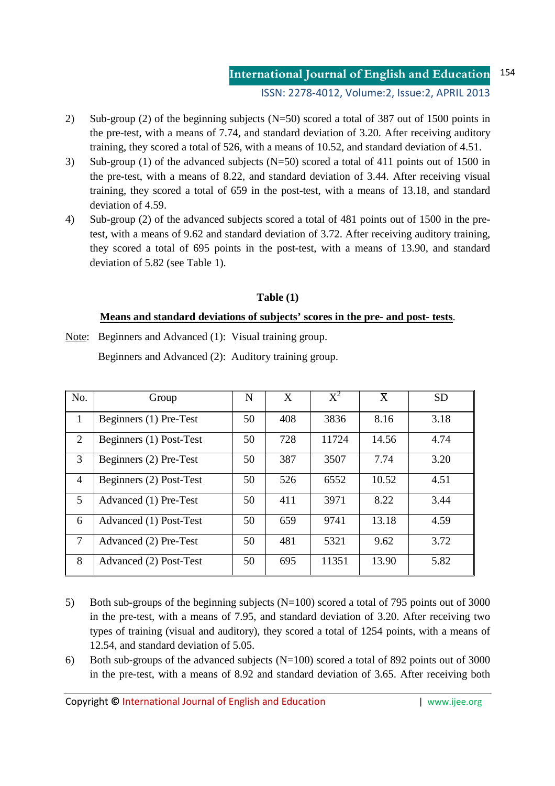ISSN: 2278-4012, Volume:2, Issue:2, APRIL 2013

- 2) Sub-group (2) of the beginning subjects (N=50) scored a total of 387 out of 1500 points in the pre-test, with a means of 7.74, and standard deviation of 3.20. After receiving auditory training, they scored a total of 526, with a means of 10.52, and standard deviation of 4.51.
- 3) Sub-group (1) of the advanced subjects (N=50) scored a total of 411 points out of 1500 in the pre-test, with a means of 8.22, and standard deviation of 3.44. After receiving visual training, they scored a total of 659 in the post-test, with a means of 13.18, and standard deviation of 4.59.
- 4) Sub-group (2) of the advanced subjects scored a total of 481 points out of 1500 in the pretest, with a means of 9.62 and standard deviation of 3.72. After receiving auditory training, they scored a total of 695 points in the post-test, with a means of 13.90, and standard deviation of 5.82 (see Table 1).

### **Table (1)**

### **Means and standard deviations of subjects' scores in the pre- and post- tests**.

Note: Beginners and Advanced (1): Visual training group.

Beginners and Advanced (2): Auditory training group.

| No. | Group                   | N  | X   | $X^2$ | $\rm \overline{X}$ | <b>SD</b> |
|-----|-------------------------|----|-----|-------|--------------------|-----------|
|     | Beginners (1) Pre-Test  | 50 | 408 | 3836  | 8.16               | 3.18      |
| 2   | Beginners (1) Post-Test | 50 | 728 | 11724 | 14.56              | 4.74      |
| 3   | Beginners (2) Pre-Test  | 50 | 387 | 3507  | 7.74               | 3.20      |
| 4   | Beginners (2) Post-Test | 50 | 526 | 6552  | 10.52              | 4.51      |
| 5   | Advanced (1) Pre-Test   | 50 | 411 | 3971  | 8.22               | 3.44      |
| 6   | Advanced (1) Post-Test  | 50 | 659 | 9741  | 13.18              | 4.59      |
| 7   | Advanced (2) Pre-Test   | 50 | 481 | 5321  | 9.62               | 3.72      |
| 8   | Advanced (2) Post-Test  | 50 | 695 | 11351 | 13.90              | 5.82      |

- 5) Both sub-groups of the beginning subjects (N=100) scored a total of 795 points out of 3000 in the pre-test, with a means of 7.95, and standard deviation of 3.20. After receiving two types of training (visual and auditory), they scored a total of 1254 points, with a means of 12.54, and standard deviation of 5.05.
- 6) Both sub-groups of the advanced subjects  $(N=100)$  scored a total of 892 points out of 3000 in the pre-test, with a means of 8.92 and standard deviation of 3.65. After receiving both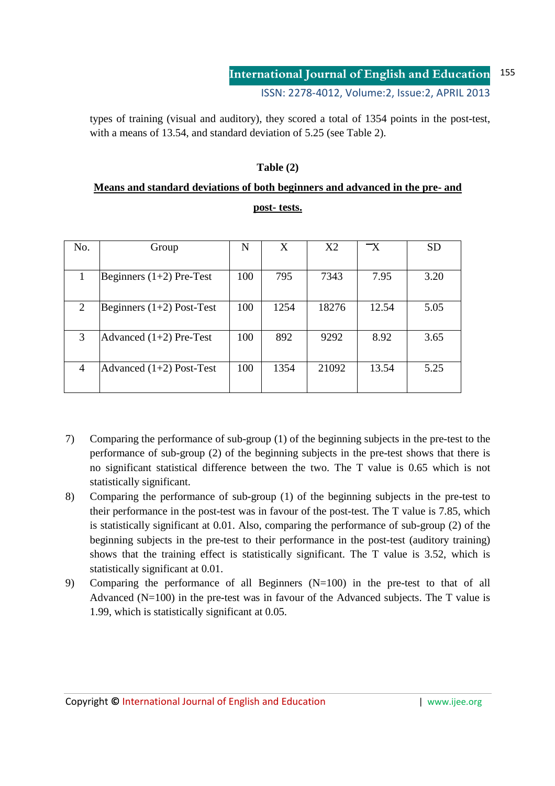types of training (visual and auditory), they scored a total of 1354 points in the post-test, with a means of 13.54, and standard deviation of 5.25 (see Table 2).

## **Table (2)**

# **Means and standard deviations of both beginners and advanced in the pre- and post- tests.**

| No.            | Group                       | N   | X    | X2    | $\mathord{\text{--x}}$ | <b>SD</b> |
|----------------|-----------------------------|-----|------|-------|------------------------|-----------|
|                | Beginners $(1+2)$ Pre-Test  | 100 | 795  | 7343  | 7.95                   | 3.20      |
| 2              | Beginners $(1+2)$ Post-Test | 100 | 1254 | 18276 | 12.54                  | 5.05      |
| 3              | Advanced $(1+2)$ Pre-Test   | 100 | 892  | 9292  | 8.92                   | 3.65      |
| $\overline{4}$ | Advanced $(1+2)$ Post-Test  | 100 | 1354 | 21092 | 13.54                  | 5.25      |

- 7) Comparing the performance of sub-group (1) of the beginning subjects in the pre-test to the performance of sub-group (2) of the beginning subjects in the pre-test shows that there is no significant statistical difference between the two. The T value is 0.65 which is not statistically significant.
- 8) Comparing the performance of sub-group (1) of the beginning subjects in the pre-test to their performance in the post-test was in favour of the post-test. The T value is 7.85, which is statistically significant at 0.01. Also, comparing the performance of sub-group (2) of the beginning subjects in the pre-test to their performance in the post-test (auditory training) shows that the training effect is statistically significant. The T value is 3.52, which is statistically significant at 0.01.
- 9) Comparing the performance of all Beginners (N=100) in the pre-test to that of all Advanced (N=100) in the pre-test was in favour of the Advanced subjects. The T value is 1.99, which is statistically significant at 0.05.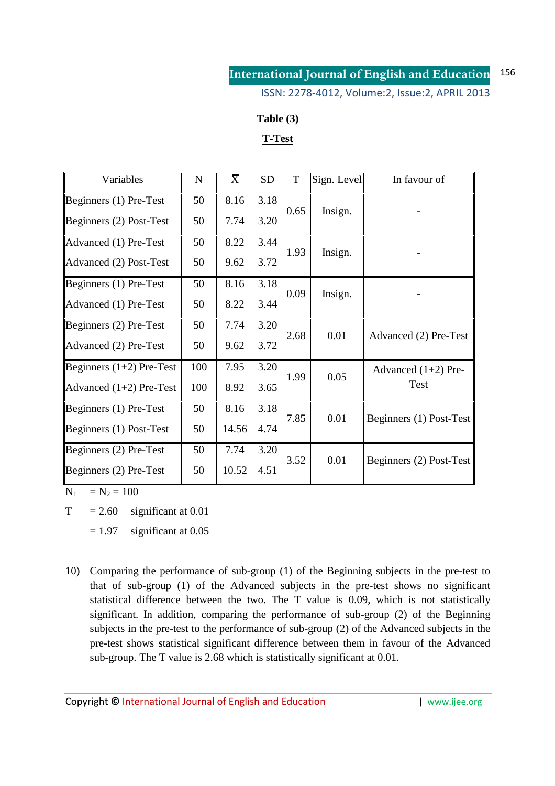ISSN: 2278-4012, Volume:2, Issue:2, APRIL 2013

### **Table (3)**

## **T-Test**

| Variables                  | N   | $\overline{X}$ | <b>SD</b> | T    | Sign. Level | In favour of            |  |
|----------------------------|-----|----------------|-----------|------|-------------|-------------------------|--|
| Beginners (1) Pre-Test     | 50  | 8.16           | 3.18      | 0.65 |             |                         |  |
| Beginners (2) Post-Test    | 50  | 7.74           | 3.20      |      | Insign.     |                         |  |
| Advanced (1) Pre-Test      | 50  | 8.22           | 3.44      |      |             |                         |  |
| Advanced (2) Post-Test     | 50  | 9.62           | 3.72      | 1.93 | Insign.     |                         |  |
| Beginners (1) Pre-Test     | 50  | 8.16           | 3.18      | 0.09 |             |                         |  |
| Advanced (1) Pre-Test      | 50  | 8.22           | 3.44      |      | Insign.     |                         |  |
| Beginners (2) Pre-Test     | 50  | 7.74           | 3.20      |      |             |                         |  |
| Advanced (2) Pre-Test      | 50  | 9.62           | 3.72      | 2.68 | 0.01        | Advanced (2) Pre-Test   |  |
| Beginners $(1+2)$ Pre-Test | 100 | 7.95           | 3.20      | 1.99 | 0.05        | Advanced $(1+2)$ Pre-   |  |
| Advanced $(1+2)$ Pre-Test  | 100 | 8.92           | 3.65      |      |             | <b>Test</b>             |  |
| Beginners (1) Pre-Test     | 50  | 8.16           | 3.18      | 7.85 | 0.01        |                         |  |
| Beginners (1) Post-Test    | 50  | 14.56          | 4.74      |      |             | Beginners (1) Post-Test |  |
| Beginners (2) Pre-Test     | 50  | 7.74           | 3.20      |      |             |                         |  |
| Beginners (2) Pre-Test     | 50  | 10.52          | 4.51      | 3.52 | 0.01        | Beginners (2) Post-Test |  |

 $N_1 = N_2 = 100$ 

 $T = 2.60$  significant at 0.01

 $= 1.97$  significant at 0.05

10) Comparing the performance of sub-group (1) of the Beginning subjects in the pre-test to that of sub-group (1) of the Advanced subjects in the pre-test shows no significant statistical difference between the two. The T value is 0.09, which is not statistically significant. In addition, comparing the performance of sub-group (2) of the Beginning subjects in the pre-test to the performance of sub-group (2) of the Advanced subjects in the pre-test shows statistical significant difference between them in favour of the Advanced sub-group. The T value is 2.68 which is statistically significant at 0.01.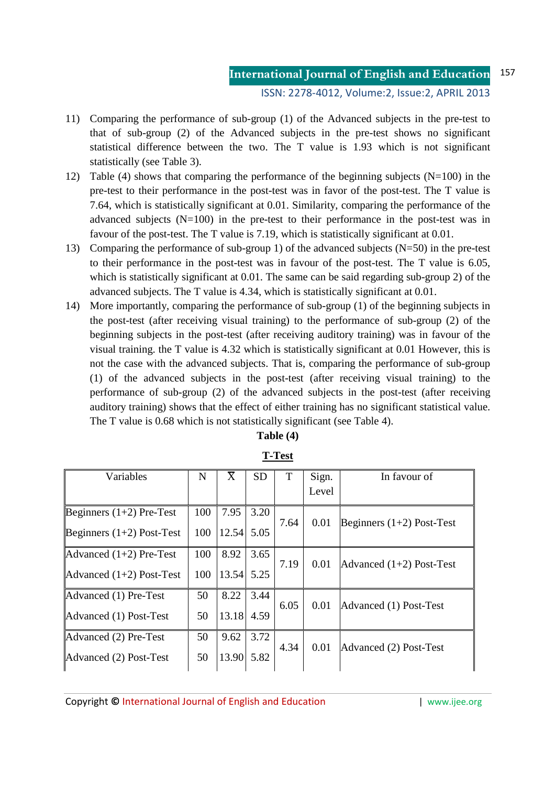- 11) Comparing the performance of sub-group (1) of the Advanced subjects in the pre-test to that of sub-group (2) of the Advanced subjects in the pre-test shows no significant statistical difference between the two. The T value is 1.93 which is not significant statistically (see Table 3).
- 12) Table (4) shows that comparing the performance of the beginning subjects (N=100) in the pre-test to their performance in the post-test was in favor of the post-test. The T value is 7.64, which is statistically significant at 0.01. Similarity, comparing the performance of the advanced subjects  $(N=100)$  in the pre-test to their performance in the post-test was in favour of the post-test. The T value is 7.19, which is statistically significant at 0.01.
- 13) Comparing the performance of sub-group 1) of the advanced subjects (N=50) in the pre-test to their performance in the post-test was in favour of the post-test. The T value is 6.05, which is statistically significant at 0.01. The same can be said regarding sub-group 2) of the advanced subjects. The T value is 4.34, which is statistically significant at 0.01.
- 14) More importantly, comparing the performance of sub-group (1) of the beginning subjects in the post-test (after receiving visual training) to the performance of sub-group (2) of the beginning subjects in the post-test (after receiving auditory training) was in favour of the visual training. the T value is 4.32 which is statistically significant at 0.01 However, this is not the case with the advanced subjects. That is, comparing the performance of sub-group (1) of the advanced subjects in the post-test (after receiving visual training) to the performance of sub-group (2) of the advanced subjects in the post-test (after receiving auditory training) shows that the effect of either training has no significant statistical value. The T value is 0.68 which is not statistically significant (see Table 4).

| Variables                   | $\mathbf N$ | $\bar{X}$    | <b>SD</b> | T    | Sign. | In favour of                |
|-----------------------------|-------------|--------------|-----------|------|-------|-----------------------------|
|                             |             |              |           |      | Level |                             |
| Beginners $(1+2)$ Pre-Test  | 100         | 7.95         | 3.20      |      |       |                             |
| Beginners $(1+2)$ Post-Test | 100         | $12.54$ 5.05 |           | 7.64 | 0.01  | Beginners $(1+2)$ Post-Test |
| Advanced $(1+2)$ Pre-Test   | 100         | 8.92         | 3.65      |      |       |                             |
| Advanced $(1+2)$ Post-Test  | 100         | 13.54        | 5.25      | 7.19 | 0.01  | Advanced $(1+2)$ Post-Test  |
| Advanced (1) Pre-Test       | 50          | 8.22         | 3.44      |      |       |                             |
| Advanced (1) Post-Test      | 50          | 13.18        | 4.59      | 6.05 | 0.01  | Advanced (1) Post-Test      |
| Advanced (2) Pre-Test       | 50          | 9.62         | 3.72      |      |       |                             |
| Advanced (2) Post-Test      | 50          | 13.90 5.82   |           | 4.34 | 0.01  | Advanced (2) Post-Test      |

**T-Test**

**Table (4)**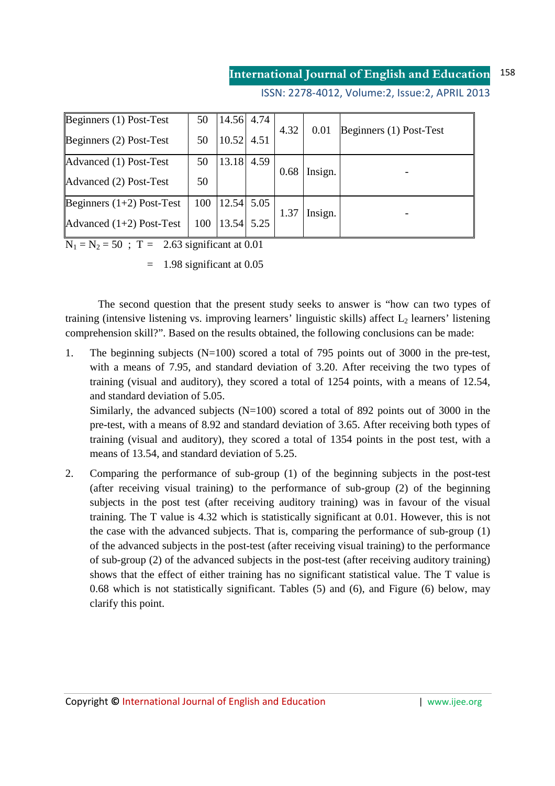ISSN: 2278-4012, Volume:2, Issue:2, APRIL 2013

| Beginners (1) Post-Test     | 50  | $14.56$ 4.74 |      |                 |         | Beginners (1) Post-Test |  |
|-----------------------------|-----|--------------|------|-----------------|---------|-------------------------|--|
| Beginners (2) Post-Test     | 50  | 10.52 4.51   |      | 4.32            | 0.01    |                         |  |
| Advanced (1) Post-Test      | 50  | 13.18        | 4.59 |                 |         |                         |  |
| Advanced (2) Post-Test      | 50  |              |      | 0.68            | Insign. |                         |  |
| Beginners $(1+2)$ Post-Test | 100 | $12.54$ 5.05 |      |                 |         |                         |  |
| Advanced $(1+2)$ Post-Test  | 100 | $13.54$ 5.25 |      | Insign.<br>1.37 |         |                         |  |

 $N_1 = N_2 = 50$ ; T = 2.63 significant at 0.01

 $=$  1.98 significant at 0.05

 The second question that the present study seeks to answer is "how can two types of training (intensive listening vs. improving learners' linguistic skills) affect  $L_2$  learners' listening comprehension skill?". Based on the results obtained, the following conclusions can be made:

1. The beginning subjects (N=100) scored a total of 795 points out of 3000 in the pre-test, with a means of 7.95, and standard deviation of 3.20. After receiving the two types of training (visual and auditory), they scored a total of 1254 points, with a means of 12.54, and standard deviation of 5.05.

Similarly, the advanced subjects  $(N=100)$  scored a total of 892 points out of 3000 in the pre-test, with a means of 8.92 and standard deviation of 3.65. After receiving both types of training (visual and auditory), they scored a total of 1354 points in the post test, with a means of 13.54, and standard deviation of 5.25.

2. Comparing the performance of sub-group (1) of the beginning subjects in the post-test (after receiving visual training) to the performance of sub-group (2) of the beginning subjects in the post test (after receiving auditory training) was in favour of the visual training. The T value is 4.32 which is statistically significant at 0.01. However, this is not the case with the advanced subjects. That is, comparing the performance of sub-group (1) of the advanced subjects in the post-test (after receiving visual training) to the performance of sub-group (2) of the advanced subjects in the post-test (after receiving auditory training) shows that the effect of either training has no significant statistical value. The T value is 0.68 which is not statistically significant. Tables (5) and (6), and Figure (6) below, may clarify this point.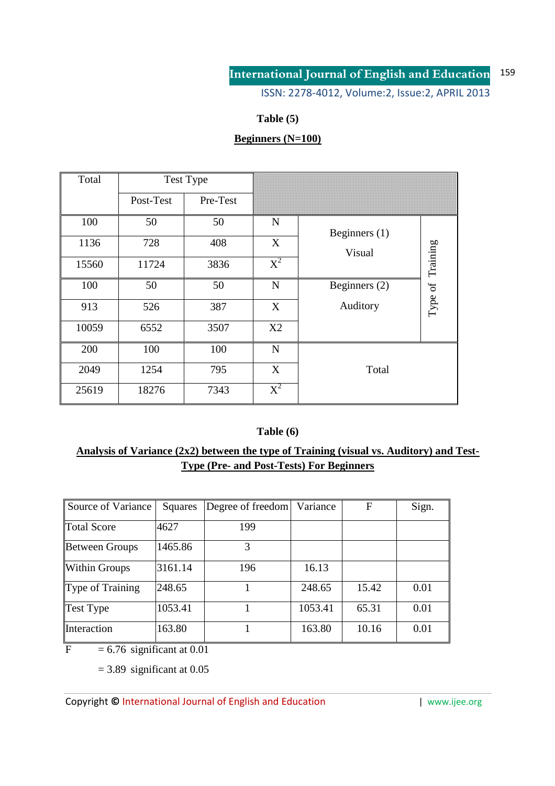ISSN: 2278-4012, Volume:2, Issue:2, APRIL 2013

## **Table (5)**

# **Beginners (N=100)**

| Total |           | <b>Test Type</b> |       |                 |                  |
|-------|-----------|------------------|-------|-----------------|------------------|
|       | Post-Test | Pre-Test         |       |                 |                  |
| 100   | 50        | 50               | N     | Beginners $(1)$ |                  |
| 1136  | 728       | 408              | X     | Visual          |                  |
| 15560 | 11724     | 3836             | $X^2$ |                 | Type of Training |
| 100   | 50        | 50               | N     | Beginners (2)   |                  |
| 913   | 526       | 387              | X     | Auditory        |                  |
| 10059 | 6552      | 3507             | X2    |                 |                  |
| 200   | 100       | 100              | N     |                 |                  |
| 2049  | 1254      | 795              | X     | Total           |                  |
| 25619 | 18276     | 7343             | $X^2$ |                 |                  |

### **Table (6)**

## **Analysis of Variance (2x2) between the type of Training (visual vs. Auditory) and Test-Type (Pre- and Post-Tests) For Beginners**

| Source of Variance    | Squares | Degree of freedom | Variance | F     | Sign. |
|-----------------------|---------|-------------------|----------|-------|-------|
| <b>Total Score</b>    | 4627    | 199               |          |       |       |
| <b>Between Groups</b> | 1465.86 | 3                 |          |       |       |
| <b>Within Groups</b>  | 3161.14 | 196               | 16.13    |       |       |
| Type of Training      | 248.65  |                   | 248.65   | 15.42 | 0.01  |
| <b>Test Type</b>      | 1053.41 |                   | 1053.41  | 65.31 | 0.01  |
| Interaction           | 163.80  |                   | 163.80   | 10.16 | 0.01  |

 $\overline{F}$  = 6.76 significant at 0.01

 $= 3.89$  significant at 0.05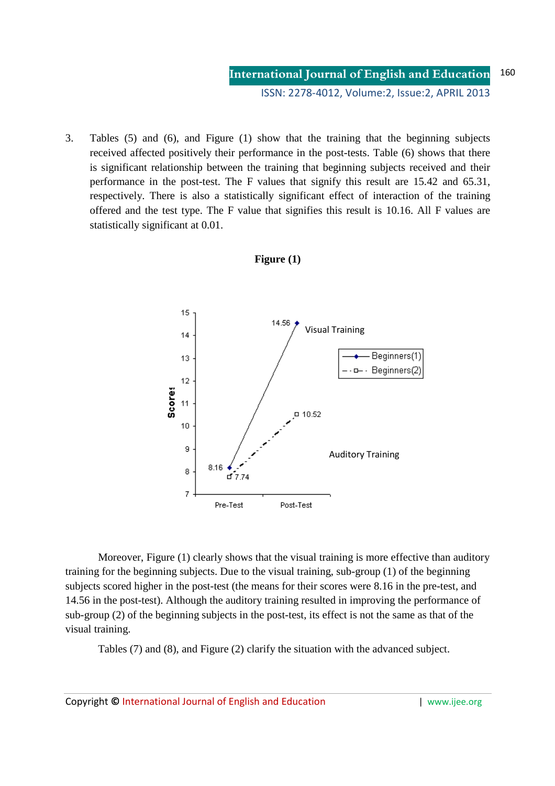3. Tables (5) and (6), and Figure (1) show that the training that the beginning subjects received affected positively their performance in the post-tests. Table (6) shows that there is significant relationship between the training that beginning subjects received and their performance in the post-test. The F values that signify this result are 15.42 and 65.31, respectively. There is also a statistically significant effect of interaction of the training offered and the test type. The F value that signifies this result is 10.16. All F values are statistically significant at 0.01.



### **Figure (1)**

Moreover, Figure (1) clearly shows that the visual training is more effective than auditory training for the beginning subjects. Due to the visual training, sub-group (1) of the beginning subjects scored higher in the post-test (the means for their scores were 8.16 in the pre-test, and 14.56 in the post-test). Although the auditory training resulted in improving the performance of sub-group (2) of the beginning subjects in the post-test, its effect is not the same as that of the visual training.

Tables (7) and (8), and Figure (2) clarify the situation with the advanced subject.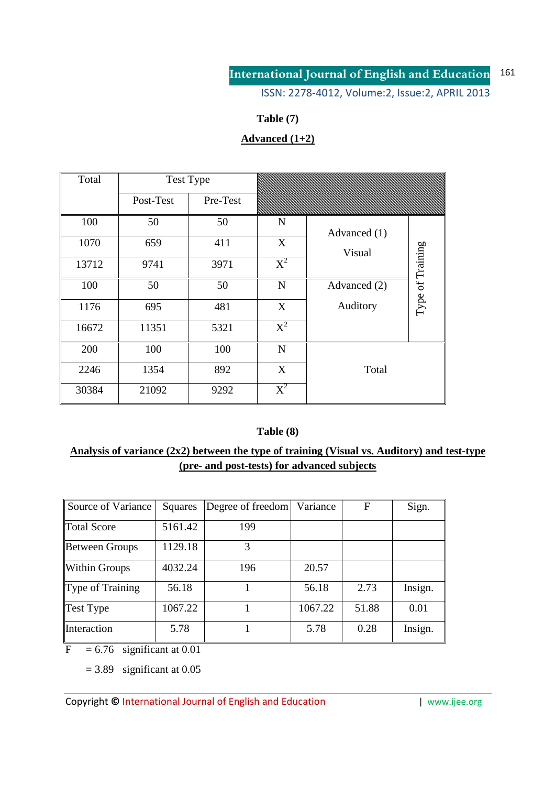ISSN: 2278-4012, Volume:2, Issue:2, APRIL 2013

## **Table (7)**

# **Advanced (1+2)**

| Total |           | Test Type |                  |              |                  |
|-------|-----------|-----------|------------------|--------------|------------------|
|       | Post-Test | Pre-Test  |                  |              |                  |
| 100   | 50        | 50        | N                | Advanced (1) |                  |
| 1070  | 659       | 411       | X                | Visual       |                  |
| 13712 | 9741      | 3971      | $X^2$            |              | Type of Training |
| 100   | 50        | 50        | $\mathbf N$      | Advanced (2) |                  |
| 1176  | 695       | 481       | X                | Auditory     |                  |
| 16672 | 11351     | 5321      | $\overline{X}^2$ |              |                  |
| 200   | 100       | 100       | N                |              |                  |
| 2246  | 1354      | 892       | X                | Total        |                  |
| 30384 | 21092     | 9292      | $X^2$            |              |                  |

## **Table (8)**

## **Analysis of variance (2x2) between the type of training (Visual vs. Auditory) and test-type (pre- and post-tests) for advanced subjects**

| Source of Variance    | <b>Squares</b> | Degree of freedom | Variance | F     | Sign.   |
|-----------------------|----------------|-------------------|----------|-------|---------|
| <b>Total Score</b>    | 5161.42        | 199               |          |       |         |
| <b>Between Groups</b> | 1129.18        | 3                 |          |       |         |
| <b>Within Groups</b>  | 4032.24        | 196               | 20.57    |       |         |
| Type of Training      | 56.18          |                   | 56.18    | 2.73  | Insign. |
| <b>Test Type</b>      | 1067.22        |                   | 1067.22  | 51.88 | 0.01    |
| Interaction           | 5.78           |                   | 5.78     | 0.28  | Insign. |

 $F = 6.76$  significant at 0.01

 $= 3.89$  significant at 0.05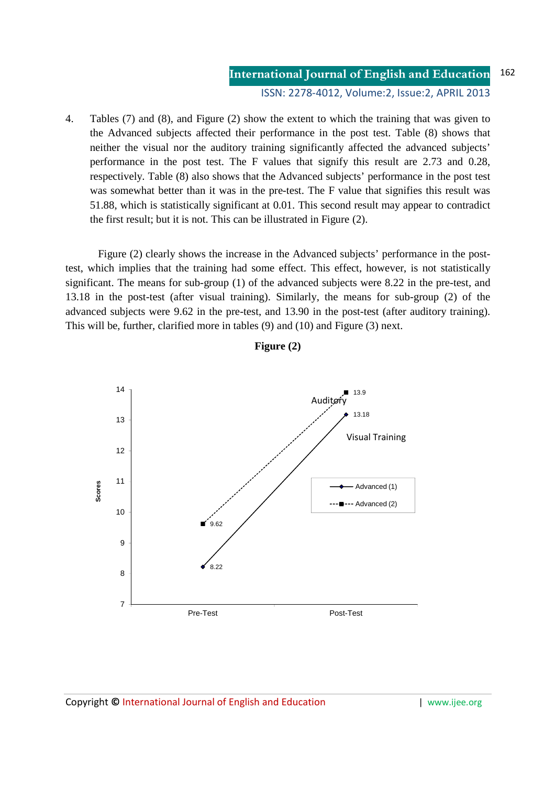4. Tables (7) and (8), and Figure (2) show the extent to which the training that was given to the Advanced subjects affected their performance in the post test. Table (8) shows that neither the visual nor the auditory training significantly affected the advanced subjects' performance in the post test. The F values that signify this result are 2.73 and 0.28, respectively. Table (8) also shows that the Advanced subjects' performance in the post test was somewhat better than it was in the pre-test. The F value that signifies this result was 51.88, which is statistically significant at 0.01. This second result may appear to contradict the first result; but it is not. This can be illustrated in Figure (2).

Figure (2) clearly shows the increase in the Advanced subjects' performance in the posttest, which implies that the training had some effect. This effect, however, is not statistically significant. The means for sub-group (1) of the advanced subjects were 8.22 in the pre-test, and 13.18 in the post-test (after visual training). Similarly, the means for sub-group (2) of the advanced subjects were 9.62 in the pre-test, and 13.90 in the post-test (after auditory training). This will be, further, clarified more in tables (9) and (10) and Figure (3) next.



**Figure (2)**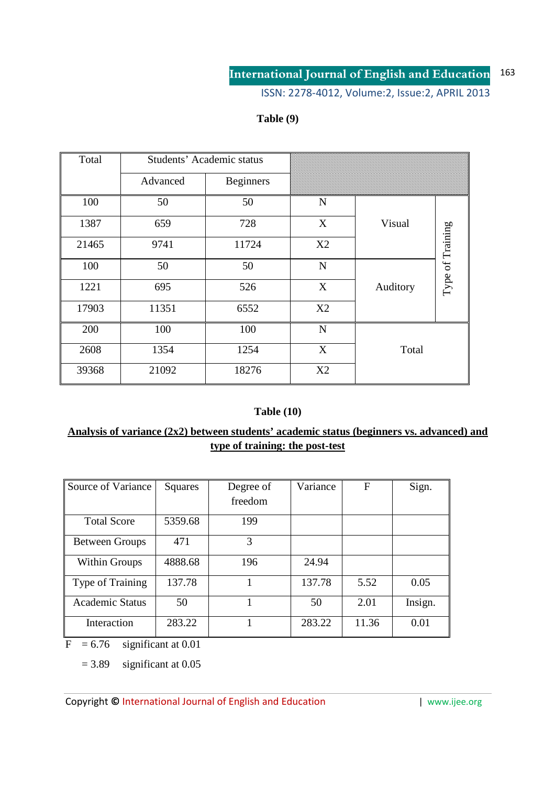ISSN: 2278-4012, Volume:2, Issue:2, APRIL 2013

## **Table (9)**

| Total | Students' Academic status |                  |             |          |                  |
|-------|---------------------------|------------------|-------------|----------|------------------|
|       | Advanced                  | <b>Beginners</b> |             |          |                  |
| 100   | 50                        | 50               | $\mathbf N$ |          |                  |
| 1387  | 659                       | 728              | X           | Visual   |                  |
| 21465 | 9741                      | 11724            | X2          |          | Type of Training |
| 100   | 50                        | 50               | $\mathbf N$ |          |                  |
| 1221  | 695                       | 526              | X           | Auditory |                  |
| 17903 | 11351                     | 6552             | X2          |          |                  |
| 200   | 100                       | 100              | ${\bf N}$   |          |                  |
| 2608  | 1354                      | 1254             | X           | Total    |                  |
| 39368 | 21092                     | 18276            | X2          |          |                  |

### **Table (10)**

## **Analysis of variance (2x2) between students' academic status (beginners vs. advanced) and type of training: the post-test**

| Source of Variance     | Squares | Degree of | Variance | $\mathbf F$ | Sign.   |
|------------------------|---------|-----------|----------|-------------|---------|
|                        |         | freedom   |          |             |         |
| <b>Total Score</b>     | 5359.68 | 199       |          |             |         |
| <b>Between Groups</b>  | 471     | 3         |          |             |         |
| <b>Within Groups</b>   | 4888.68 | 196       | 24.94    |             |         |
| Type of Training       | 137.78  |           | 137.78   | 5.52        | 0.05    |
| <b>Academic Status</b> | 50      |           | 50       | 2.01        | Insign. |
| Interaction            | 283.22  |           | 283.22   | 11.36       | 0.01    |

 $\overline{F}$  = 6.76 significant at 0.01

 $= 3.89$  significant at 0.05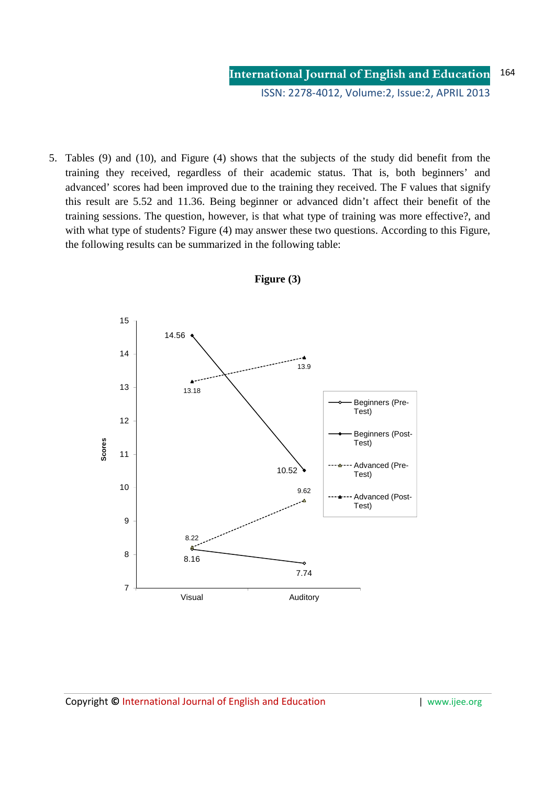5. Tables (9) and (10), and Figure (4) shows that the subjects of the study did benefit from the training they received, regardless of their academic status. That is, both beginners' and advanced' scores had been improved due to the training they received. The F values that signify this result are 5.52 and 11.36. Being beginner or advanced didn't affect their benefit of the training sessions. The question, however, is that what type of training was more effective?, and with what type of students? Figure (4) may answer these two questions. According to this Figure, the following results can be summarized in the following table:



**Figure (3)**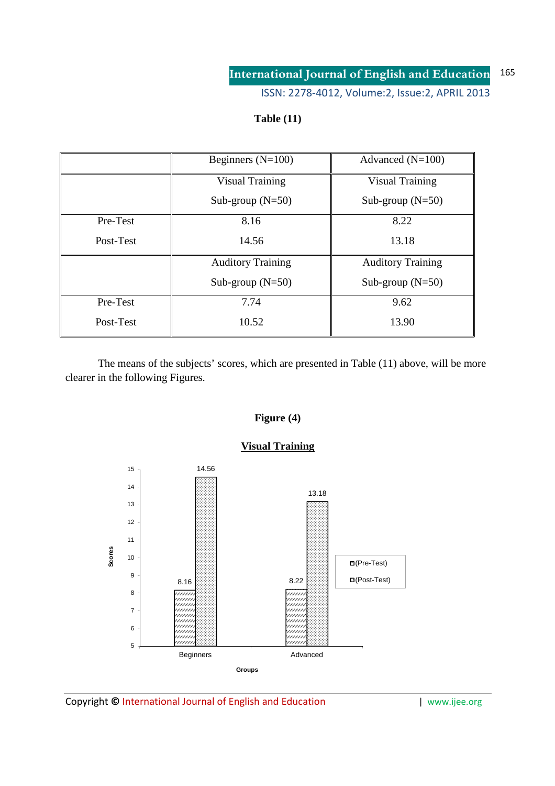ISSN: 2278-4012, Volume:2, Issue:2, APRIL 2013

## **Table (11)**

|           | Beginners $(N=100)$      | Advanced $(N=100)$       |
|-----------|--------------------------|--------------------------|
|           | <b>Visual Training</b>   | <b>Visual Training</b>   |
|           | Sub-group $(N=50)$       | Sub-group $(N=50)$       |
| Pre-Test  | 8.16                     | 8.22                     |
| Post-Test | 14.56                    | 13.18                    |
|           | <b>Auditory Training</b> | <b>Auditory Training</b> |
|           | Sub-group $(N=50)$       | Sub-group $(N=50)$       |
| Pre-Test  | 7.74                     | 9.62                     |
| Post-Test | 10.52                    | 13.90                    |

 The means of the subjects' scores, which are presented in Table (11) above, will be more clearer in the following Figures.



# **Figure (4)**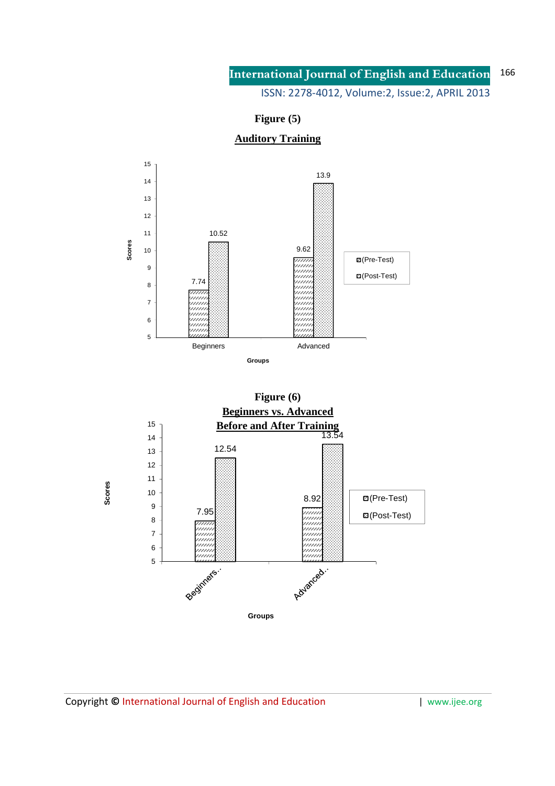ISSN: 2278-4012, Volume:2, Issue:2, APRIL 2013

**Figure (5)** 

## **Auditory Training**



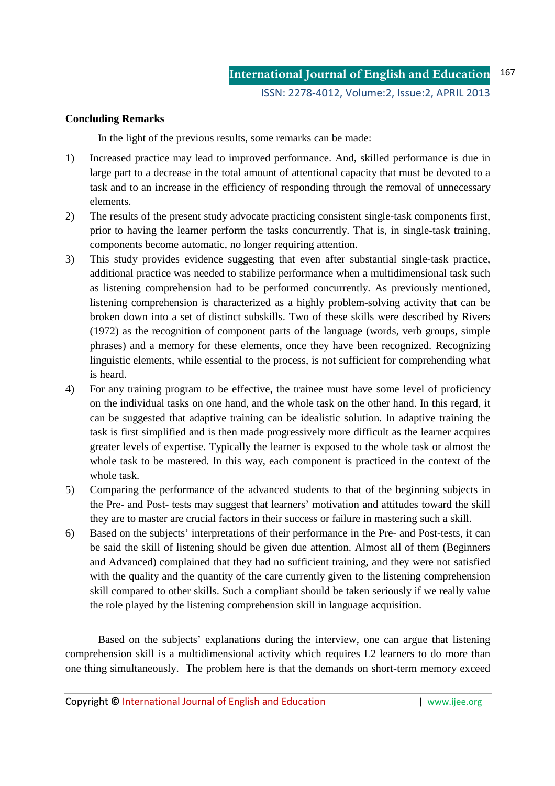### **Concluding Remarks**

In the light of the previous results, some remarks can be made:

- 1) Increased practice may lead to improved performance. And, skilled performance is due in large part to a decrease in the total amount of attentional capacity that must be devoted to a task and to an increase in the efficiency of responding through the removal of unnecessary elements.
- 2) The results of the present study advocate practicing consistent single-task components first, prior to having the learner perform the tasks concurrently. That is, in single-task training, components become automatic, no longer requiring attention.
- 3) This study provides evidence suggesting that even after substantial single-task practice, additional practice was needed to stabilize performance when a multidimensional task such as listening comprehension had to be performed concurrently. As previously mentioned, listening comprehension is characterized as a highly problem-solving activity that can be broken down into a set of distinct subskills. Two of these skills were described by Rivers (1972) as the recognition of component parts of the language (words, verb groups, simple phrases) and a memory for these elements, once they have been recognized. Recognizing linguistic elements, while essential to the process, is not sufficient for comprehending what is heard.
- 4) For any training program to be effective, the trainee must have some level of proficiency on the individual tasks on one hand, and the whole task on the other hand. In this regard, it can be suggested that adaptive training can be idealistic solution. In adaptive training the task is first simplified and is then made progressively more difficult as the learner acquires greater levels of expertise. Typically the learner is exposed to the whole task or almost the whole task to be mastered. In this way, each component is practiced in the context of the whole task.
- 5) Comparing the performance of the advanced students to that of the beginning subjects in the Pre- and Post- tests may suggest that learners' motivation and attitudes toward the skill they are to master are crucial factors in their success or failure in mastering such a skill.
- 6) Based on the subjects' interpretations of their performance in the Pre- and Post-tests, it can be said the skill of listening should be given due attention. Almost all of them (Beginners and Advanced) complained that they had no sufficient training, and they were not satisfied with the quality and the quantity of the care currently given to the listening comprehension skill compared to other skills. Such a compliant should be taken seriously if we really value the role played by the listening comprehension skill in language acquisition.

 Based on the subjects' explanations during the interview, one can argue that listening comprehension skill is a multidimensional activity which requires L2 learners to do more than one thing simultaneously. The problem here is that the demands on short-term memory exceed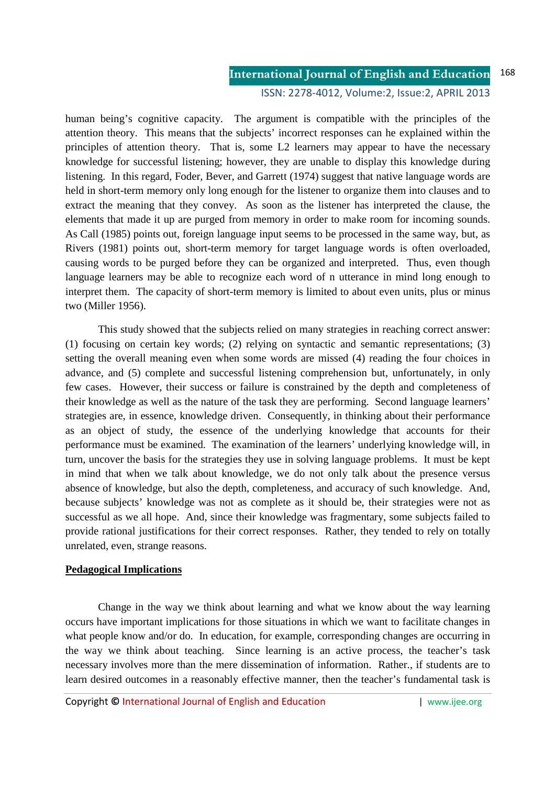human being's cognitive capacity. The argument is compatible with the principles of the attention theory. This means that the subjects' incorrect responses can he explained within the principles of attention theory. That is, some L2 learners may appear to have the necessary knowledge for successful listening; however, they are unable to display this knowledge during listening. In this regard, Foder, Bever, and Garrett (1974) suggest that native language words are held in short-term memory only long enough for the listener to organize them into clauses and to extract the meaning that they convey. As soon as the listener has interpreted the clause, the elements that made it up are purged from memory in order to make room for incoming sounds. As Call (1985) points out, foreign language input seems to be processed in the same way, but, as Rivers (1981) points out, short-term memory for target language words is often overloaded, causing words to be purged before they can be organized and interpreted. Thus, even though language learners may be able to recognize each word of n utterance in mind long enough to interpret them. The capacity of short-term memory is limited to about even units, plus or minus two (Miller 1956).

 This study showed that the subjects relied on many strategies in reaching correct answer: (1) focusing on certain key words; (2) relying on syntactic and semantic representations; (3) setting the overall meaning even when some words are missed (4) reading the four choices in advance, and (5) complete and successful listening comprehension but, unfortunately, in only few cases. However, their success or failure is constrained by the depth and completeness of their knowledge as well as the nature of the task they are performing. Second language learners' strategies are, in essence, knowledge driven. Consequently, in thinking about their performance as an object of study, the essence of the underlying knowledge that accounts for their performance must be examined. The examination of the learners' underlying knowledge will, in turn, uncover the basis for the strategies they use in solving language problems. It must be kept in mind that when we talk about knowledge, we do not only talk about the presence versus absence of knowledge, but also the depth, completeness, and accuracy of such knowledge. And, because subjects' knowledge was not as complete as it should be, their strategies were not as successful as we all hope. And, since their knowledge was fragmentary, some subjects failed to provide rational justifications for their correct responses. Rather, they tended to rely on totally unrelated, even, strange reasons.

### **Pedagogical Implications**

 Change in the way we think about learning and what we know about the way learning occurs have important implications for those situations in which we want to facilitate changes in what people know and/or do. In education, for example, corresponding changes are occurring in the way we think about teaching. Since learning is an active process, the teacher's task necessary involves more than the mere dissemination of information. Rather., if students are to learn desired outcomes in a reasonably effective manner, then the teacher's fundamental task is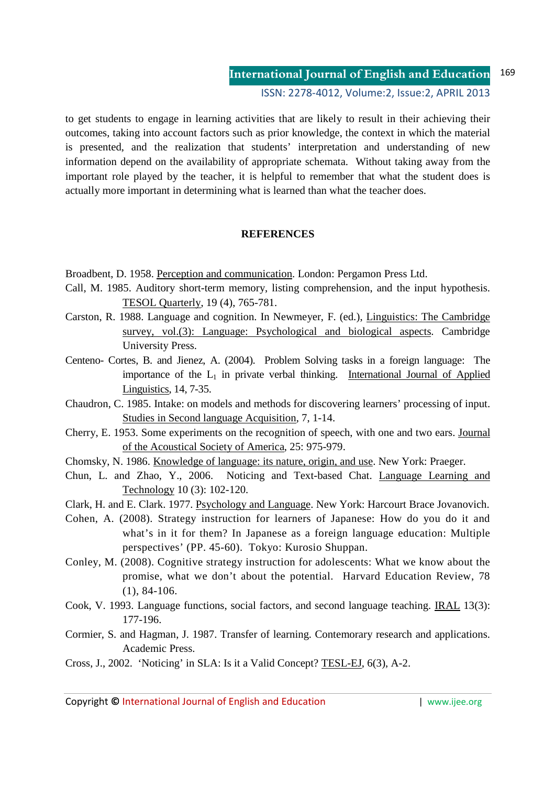to get students to engage in learning activities that are likely to result in their achieving their outcomes, taking into account factors such as prior knowledge, the context in which the material is presented, and the realization that students' interpretation and understanding of new information depend on the availability of appropriate schemata. Without taking away from the important role played by the teacher, it is helpful to remember that what the student does is actually more important in determining what is learned than what the teacher does.

### **REFERENCES**

- Broadbent, D. 1958. Perception and communication. London: Pergamon Press Ltd.
- Call, M. 1985. Auditory short-term memory, listing comprehension, and the input hypothesis. TESOL Quarterly, 19 (4), 765-781.
- Carston, R. 1988. Language and cognition. In Newmeyer, F. (ed.), Linguistics: The Cambridge survey, vol.(3): Language: Psychological and biological aspects. Cambridge University Press.
- Centeno- Cortes, B. and Jienez, A. (2004). Problem Solving tasks in a foreign language: The importance of the  $L_1$  in private verbal thinking. International Journal of Applied Linguistics, 14, 7-35.
- Chaudron, C. 1985. Intake: on models and methods for discovering learners' processing of input. Studies in Second language Acquisition, 7, 1-14.
- Cherry, E. 1953. Some experiments on the recognition of speech, with one and two ears. Journal of the Acoustical Society of America, 25: 975-979.
- Chomsky, N. 1986. Knowledge of language: its nature, origin, and use. New York: Praeger.
- Chun, L. and Zhao, Y., 2006. Noticing and Text-based Chat. Language Learning and Technology 10 (3): 102-120.
- Clark, H. and E. Clark. 1977. Psychology and Language. New York: Harcourt Brace Jovanovich.
- Cohen, A. (2008). Strategy instruction for learners of Japanese: How do you do it and what's in it for them? In Japanese as a foreign language education: Multiple perspectives' (PP. 45-60). Tokyo: Kurosio Shuppan.
- Conley, M. (2008). Cognitive strategy instruction for adolescents: What we know about the promise, what we don't about the potential. Harvard Education Review, 78 (1), 84-106.
- Cook, V. 1993. Language functions, social factors, and second language teaching. IRAL 13(3): 177-196.
- Cormier, S. and Hagman, J. 1987. Transfer of learning. Contemorary research and applications. Academic Press.
- Cross, J., 2002. 'Noticing' in SLA: Is it a Valid Concept? TESL-EJ, 6(3), A-2.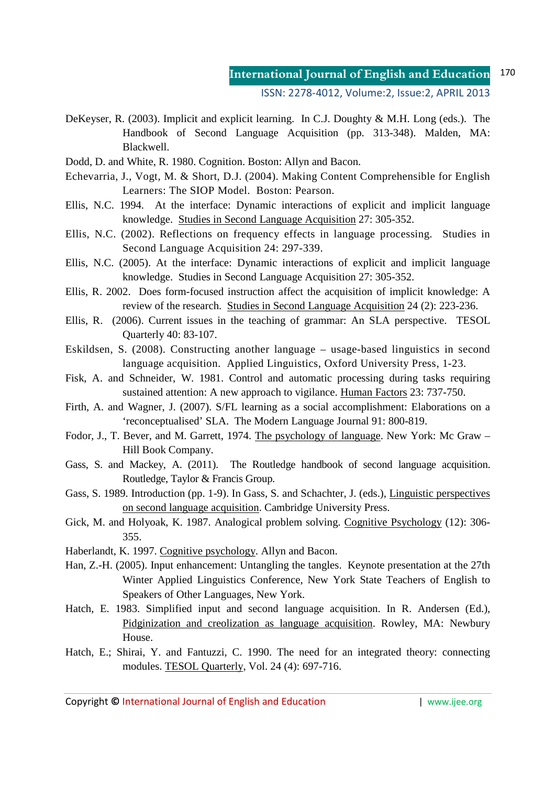ISSN: 2278-4012, Volume:2, Issue:2, APRIL 2013

- DeKeyser, R. (2003). Implicit and explicit learning. In C.J. Doughty & M.H. Long (eds.). The Handbook of Second Language Acquisition (pp. 313-348). Malden, MA: Blackwell.
- Dodd, D. and White, R. 1980. Cognition. Boston: Allyn and Bacon.
- Echevarria, J., Vogt, M. & Short, D.J. (2004). Making Content Comprehensible for English Learners: The SIOP Model. Boston: Pearson.
- Ellis, N.C. 1994. At the interface: Dynamic interactions of explicit and implicit language knowledge. Studies in Second Language Acquisition 27: 305-352.
- Ellis, N.C. (2002). Reflections on frequency effects in language processing. Studies in Second Language Acquisition 24: 297-339.
- Ellis, N.C. (2005). At the interface: Dynamic interactions of explicit and implicit language knowledge. Studies in Second Language Acquisition 27: 305-352.
- Ellis, R. 2002. Does form-focused instruction affect the acquisition of implicit knowledge: A review of the research. Studies in Second Language Acquisition 24 (2): 223-236.
- Ellis, R. (2006). Current issues in the teaching of grammar: An SLA perspective. TESOL Quarterly 40: 83-107.
- Eskildsen, S. (2008). Constructing another language usage-based linguistics in second language acquisition. Applied Linguistics, Oxford University Press, 1-23.
- Fisk, A. and Schneider, W. 1981. Control and automatic processing during tasks requiring sustained attention: A new approach to vigilance. Human Factors 23: 737-750.
- Firth, A. and Wagner, J. (2007). S/FL learning as a social accomplishment: Elaborations on a 'reconceptualised' SLA. The Modern Language Journal 91: 800-819.
- Fodor, J., T. Bever, and M. Garrett, 1974. The psychology of language. New York: Mc Graw Hill Book Company.
- Gass, S. and Mackey, A. (2011). The Routledge handbook of second language acquisition. Routledge, Taylor & Francis Group.
- Gass, S. 1989. Introduction (pp. 1-9). In Gass, S. and Schachter, J. (eds.), Linguistic perspectives on second language acquisition. Cambridge University Press.
- Gick, M. and Holyoak, K. 1987. Analogical problem solving. Cognitive Psychology (12): 306- 355.
- Haberlandt, K. 1997. Cognitive psychology. Allyn and Bacon.
- Han, Z.-H. (2005). Input enhancement: Untangling the tangles. Keynote presentation at the 27th Winter Applied Linguistics Conference, New York State Teachers of English to Speakers of Other Languages, New York.
- Hatch, E. 1983. Simplified input and second language acquisition. In R. Andersen (Ed.), Pidginization and creolization as language acquisition. Rowley, MA: Newbury House.
- Hatch, E.; Shirai, Y. and Fantuzzi, C. 1990. The need for an integrated theory: connecting modules. TESOL Quarterly, Vol. 24 (4): 697-716.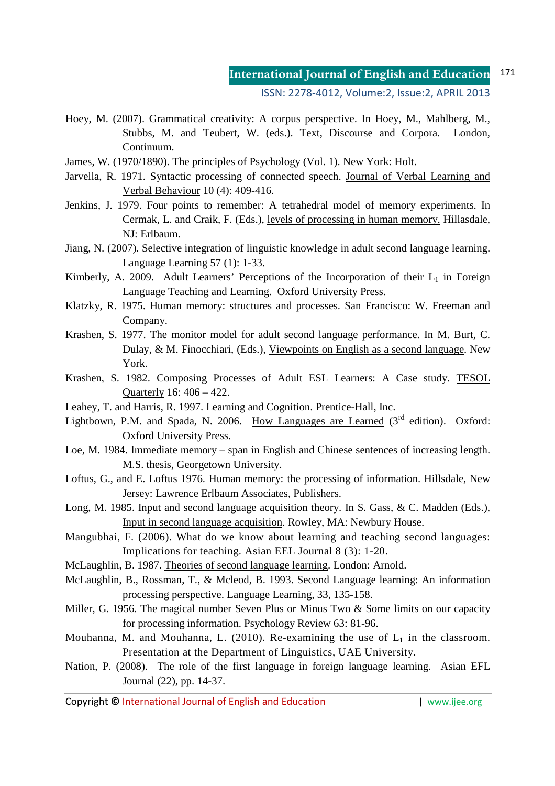ISSN: 2278-4012, Volume:2, Issue:2, APRIL 2013

- Hoey, M. (2007). Grammatical creativity: A corpus perspective. In Hoey, M., Mahlberg, M., Stubbs, M. and Teubert, W. (eds.). Text, Discourse and Corpora. London, Continuum.
- James, W. (1970/1890). The principles of Psychology (Vol. 1). New York: Holt.
- Jarvella, R. 1971. Syntactic processing of connected speech. Journal of Verbal Learning and Verbal Behaviour 10 (4): 409-416.
- Jenkins, J. 1979. Four points to remember: A tetrahedral model of memory experiments. In Cermak, L. and Craik, F. (Eds.), levels of processing in human memory. Hillasdale, NJ: Erlbaum.
- Jiang, N. (2007). Selective integration of linguistic knowledge in adult second language learning. Language Learning 57 (1): 1-33.
- Kimberly, A. 2009. Adult Learners' Perceptions of the Incorporation of their  $L_1$  in Foreign Language Teaching and Learning. Oxford University Press.
- Klatzky, R. 1975. Human memory: structures and processes. San Francisco: W. Freeman and Company.
- Krashen, S. 1977. The monitor model for adult second language performance. In M. Burt, C. Dulay, & M. Finocchiari, (Eds.), Viewpoints on English as a second language. New York.
- Krashen, S. 1982. Composing Processes of Adult ESL Learners: A Case study. TESOL Quarterly 16: 406 – 422.
- Leahey, T. and Harris, R. 1997. Learning and Cognition. Prentice-Hall, Inc.
- Lightbown, P.M. and Spada, N. 2006. How Languages are Learned (3<sup>rd</sup> edition). Oxford: Oxford University Press.
- Loe, M. 1984. Immediate memory span in English and Chinese sentences of increasing length. M.S. thesis, Georgetown University.
- Loftus, G., and E. Loftus 1976. Human memory: the processing of information. Hillsdale, New Jersey: Lawrence Erlbaum Associates, Publishers.
- Long, M. 1985. Input and second language acquisition theory. In S. Gass, & C. Madden (Eds.), Input in second language acquisition. Rowley, MA: Newbury House.
- Mangubhai, F. (2006). What do we know about learning and teaching second languages: Implications for teaching. Asian EEL Journal 8 (3): 1-20.
- McLaughlin, B. 1987. Theories of second language learning. London: Arnold.
- McLaughlin, B., Rossman, T., & Mcleod, B. 1993. Second Language learning: An information processing perspective. Language Learning, 33, 135-158.
- Miller, G. 1956. The magical number Seven Plus or Minus Two & Some limits on our capacity for processing information. Psychology Review 63: 81-96.
- Mouhanna, M. and Mouhanna, L. (2010). Re-examining the use of  $L_1$  in the classroom. Presentation at the Department of Linguistics, UAE University.
- Nation, P. (2008). The role of the first language in foreign language learning. Asian EFL Journal (22), pp. 14-37.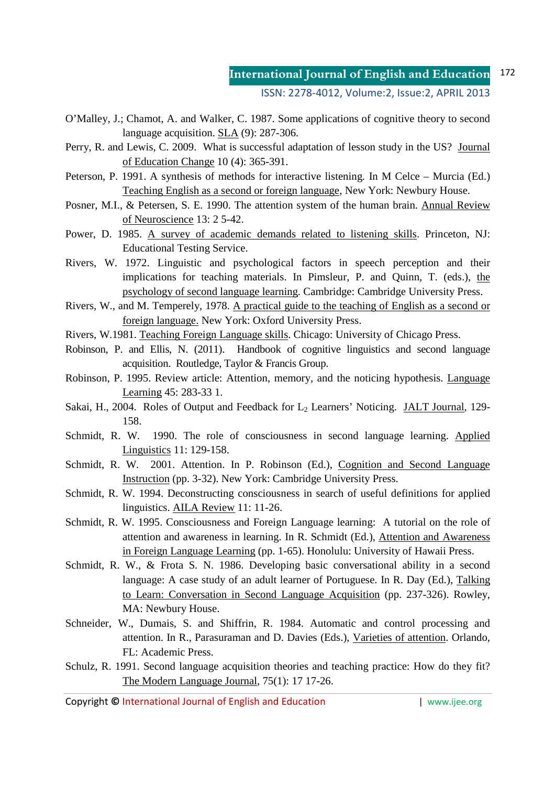- O'Malley, J.; Chamot, A. and Walker, C. 1987. Some applications of cognitive theory to second language acquisition. SLA (9): 287-306.
- Perry, R. and Lewis, C. 2009. What is successful adaptation of lesson study in the US? Journal of Education Change 10 (4): 365-391.
- Peterson, P. 1991. A synthesis of methods for interactive listening. In M Celce Murcia (Ed.) Teaching English as a second or foreign language, New York: Newbury House.
- Posner, M.I., & Petersen, S. E. 1990. The attention system of the human brain. Annual Review of Neuroscience 13: 2 5-42.
- Power, D. 1985. A survey of academic demands related to listening skills. Princeton, NJ: Educational Testing Service.
- Rivers, W. 1972. Linguistic and psychological factors in speech perception and their implications for teaching materials. In Pimsleur, P. and Quinn, T. (eds.), the psychology of second language learning. Cambridge: Cambridge University Press.
- Rivers, W., and M. Temperely, 1978. A practical guide to the teaching of English as a second or foreign language. New York: Oxford University Press.
- Rivers, W.1981. Teaching Foreign Language skills. Chicago: University of Chicago Press.
- Robinson, P. and Ellis, N. (2011). Handbook of cognitive linguistics and second language acquisition. Routledge, Taylor & Francis Group.
- Robinson, P. 1995. Review article: Attention, memory, and the noticing hypothesis. Language Learning 45: 283-33 1.
- Sakai, H., 2004. Roles of Output and Feedback for  $L_2$  Learners' Noticing. JALT Journal, 129-158.
- Schmidt, R. W. 1990. The role of consciousness in second language learning. Applied Linguistics 11: 129-158.
- Schmidt, R. W. 2001. Attention. In P. Robinson (Ed.), Cognition and Second Language Instruction (pp. 3-32). New York: Cambridge University Press.
- Schmidt, R. W. 1994. Deconstructing consciousness in search of useful definitions for applied linguistics. AILA Review 11: 11-26.
- Schmidt, R. W. 1995. Consciousness and Foreign Language learning: A tutorial on the role of attention and awareness in learning. In R. Schmidt (Ed.), Attention and Awareness in Foreign Language Learning (pp. 1-65). Honolulu: University of Hawaii Press.
- Schmidt, R. W., & Frota S. N. 1986. Developing basic conversational ability in a second language: A case study of an adult learner of Portuguese. In R. Day (Ed.), Talking to Learn: Conversation in Second Language Acquisition (pp. 237-326). Rowley, MA: Newbury House.
- Schneider, W., Dumais, S. and Shiffrin, R. 1984. Automatic and control processing and attention. In R., Parasuraman and D. Davies (Eds.), Varieties of attention. Orlando, FL: Academic Press.
- Schulz, R. 1991. Second language acquisition theories and teaching practice: How do they fit? The Modern Language Journal, 75(1): 17 17-26.